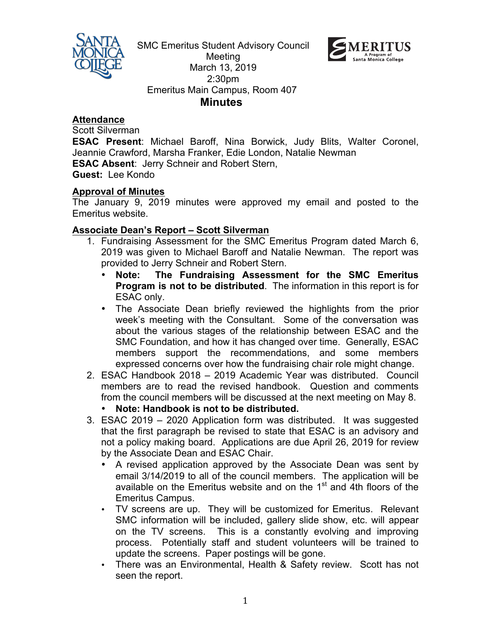

SMC Emeritus Student Advisory Council Meeting March 13, 2019 2:30pm Emeritus Main Campus, Room 407  **Minutes**



**Attendance**

Scott Silverman

**ESAC Present**: Michael Baroff, Nina Borwick, Judy Blits, Walter Coronel, Jeannie Crawford, Marsha Franker, Edie London, Natalie Newman **ESAC Absent**: Jerry Schneir and Robert Stern,

**Guest:** Lee Kondo

#### **Approval of Minutes**

The January 9, 2019 minutes were approved my email and posted to the Emeritus website.

#### **Associate Dean's Report – Scott Silverman**

- 1. Fundraising Assessment for the SMC Emeritus Program dated March 6, 2019 was given to Michael Baroff and Natalie Newman. The report was provided to Jerry Schneir and Robert Stern.
	- **Note: The Fundraising Assessment for the SMC Emeritus Program is not to be distributed**. The information in this report is for ESAC only.
	- The Associate Dean briefly reviewed the highlights from the prior week's meeting with the Consultant. Some of the conversation was about the various stages of the relationship between ESAC and the SMC Foundation, and how it has changed over time. Generally, ESAC members support the recommendations, and some members expressed concerns over how the fundraising chair role might change.
- 2. ESAC Handbook 2018 2019 Academic Year was distributed. Council members are to read the revised handbook. Question and comments from the council members will be discussed at the next meeting on May 8.
	- **Note: Handbook is not to be distributed.**
- 3. ESAC 2019 2020 Application form was distributed. It was suggested that the first paragraph be revised to state that ESAC is an advisory and not a policy making board. Applications are due April 26, 2019 for review by the Associate Dean and ESAC Chair.
	- A revised application approved by the Associate Dean was sent by email 3/14/2019 to all of the council members. The application will be available on the Emeritus website and on the  $1<sup>st</sup>$  and 4th floors of the Emeritus Campus.
	- TV screens are up. They will be customized for Emeritus. Relevant SMC information will be included, gallery slide show, etc. will appear on the TV screens. This is a constantly evolving and improving process. Potentially staff and student volunteers will be trained to update the screens. Paper postings will be gone.
	- There was an Environmental, Health & Safety review. Scott has not seen the report.